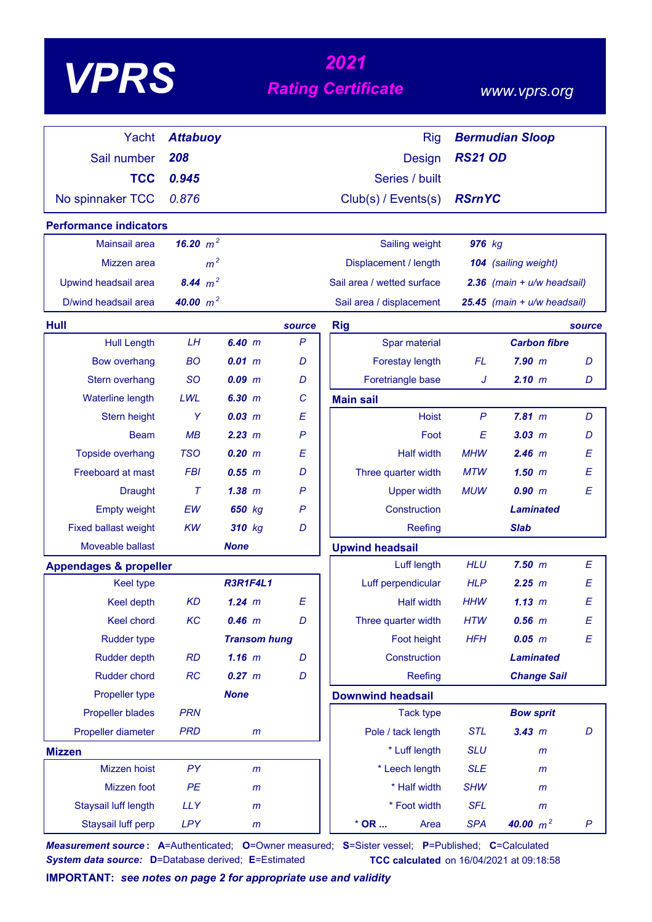# *<sup>2021</sup> VPRS Rating Certificate*

### *www.vprs.org*

| Yacht                             | <b>Attabuoy</b> |                     |              | <b>Rig</b>                 |                | <b>Bermudian Sloop</b>         |        |
|-----------------------------------|-----------------|---------------------|--------------|----------------------------|----------------|--------------------------------|--------|
| Sail number                       | 208             |                     |              | Design                     | <b>RS21 OD</b> |                                |        |
| <b>TCC</b>                        | 0.945           |                     |              | Series / built             |                |                                |        |
| No spinnaker TCC                  | 0.876           |                     |              | Club(s) / Events(s)        | <b>RSrnYC</b>  |                                |        |
|                                   |                 |                     |              |                            |                |                                |        |
| <b>Performance indicators</b>     | 16.20 $m^2$     |                     |              |                            |                |                                |        |
| Mainsail area                     |                 |                     |              | Sailing weight             | 976 kg         |                                |        |
| Mizzen area                       | m <sup>2</sup>  |                     |              | Displacement / length      |                | 104 (sailing weight)           |        |
| Upwind headsail area              | 8.44 $m^2$      |                     |              | Sail area / wetted surface |                | $2.36$ (main + $u/w$ headsail) |        |
| D/wind headsail area              | 40.00 $m^2$     |                     |              | Sail area / displacement   |                | 25.45 (main + u/w headsail)    |        |
| <b>Hull</b>                       |                 |                     | source       | <b>Rig</b>                 |                |                                | source |
| <b>Hull Length</b>                | LH              | 6.40 m              | $\mathsf{P}$ | Spar material              |                | <b>Carbon fibre</b>            |        |
| <b>Bow overhang</b>               | <b>BO</b>       | 0.01 m              | D            | Forestay length            | <b>FL</b>      | $7.90$ $m$                     | D      |
| Stern overhang                    | <b>SO</b>       | 0.09~m              | D            | Foretriangle base          | J              | 2.10 m                         | D      |
| Waterline length                  | LWL             | 6.30 m              | C            | <b>Main sail</b>           |                |                                |        |
| Stern height                      | Y               | $0.03$ $m$          | E            | <b>Hoist</b>               | $\mathsf{P}$   | 7.81 m                         | D      |
| <b>Beam</b>                       | MB              | 2.23 m              | P            | Foot                       | E              | $3.03 \, m$                    | D      |
| Topside overhang                  | <b>TSO</b>      | 0.20 m              | E            | <b>Half width</b>          | <b>MHW</b>     | $2.46$ m                       | E      |
| Freeboard at mast                 | <b>FBI</b>      | 0.55 m              | D            | Three quarter width        | <b>MTW</b>     | $1.50$ m                       | E      |
| <b>Draught</b>                    | $\tau$          | 1.38~m              | $\mathsf{P}$ | <b>Upper width</b>         | <b>MUW</b>     | 0.90 m                         | E      |
| <b>Empty weight</b>               | EW              | 650 kg              | P            | Construction               |                | <b>Laminated</b>               |        |
| <b>Fixed ballast weight</b>       | <b>KW</b>       | 310 kg              | D            | Reefing                    |                | <b>Slab</b>                    |        |
| Moveable ballast                  |                 | <b>None</b>         |              | <b>Upwind headsail</b>     |                |                                |        |
| <b>Appendages &amp; propeller</b> |                 |                     |              | Luff length                | <b>HLU</b>     | $7.50$ $m$                     | E      |
| <b>Keel type</b>                  |                 | <b>R3R1F4L1</b>     |              | Luff perpendicular         | <b>HLP</b>     | 2.25 m                         | E      |
| Keel depth                        | <b>KD</b>       | $1.24$ m            | E            | <b>Half width</b>          | <b>HHW</b>     | 1.13 m                         | E      |
| Keel chord                        | KC              | $0.46$ m            | D            | Three quarter width        | <b>HTW</b>     | $0.56$ $m$                     | E      |
| Rudder type                       |                 | <b>Transom hung</b> |              | Foot height                | <b>HFH</b>     | $0.05$ $m$                     | E      |
| <b>Rudder depth</b>               | <b>RD</b>       | $1.16$ m            | D            | Construction               |                | <b>Laminated</b>               |        |
| Rudder chord                      | RC              | 0.27 m              | D            | Reefing                    |                | <b>Change Sail</b>             |        |
| Propeller type                    |                 | <b>None</b>         |              | <b>Downwind headsail</b>   |                |                                |        |
| <b>Propeller blades</b>           | <b>PRN</b>      |                     |              | <b>Tack type</b>           |                | <b>Bow sprit</b>               |        |
| Propeller diameter                | <b>PRD</b>      | m                   |              | Pole / tack length         | <b>STL</b>     | 3.43 m                         | D      |
| <b>Mizzen</b>                     |                 |                     |              | * Luff length              | <b>SLU</b>     | m                              |        |
| Mizzen hoist                      | PY              | $\mathsf{m}$        |              | * Leech length             | <b>SLE</b>     | $\mathsf{m}$                   |        |
| Mizzen foot                       | PE              | m                   |              | * Half width               | <b>SHW</b>     | $\mathsf{m}$                   |        |
| Staysail luff length              | <b>LLY</b>      | $\mathsf{m}$        |              | * Foot width               | <b>SFL</b>     | $\mathsf{m}$                   |        |
| Staysail luff perp                | <b>LPY</b>      | m                   |              | $*$ OR<br>Area             | <b>SPA</b>     | 40.00 $m^2$                    | P      |

*Measurement source* **: A**=Authenticated; **O**=Owner measured; **S**=Sister vessel; **P**=Published; **C**=Calculated *System data source:* **D**=Database derived; **E**=Estimated **TCC calculated** on 16/04/2021 at 09:18:58

**IMPORTANT:** *see notes on page 2 for appropriate use and validity*